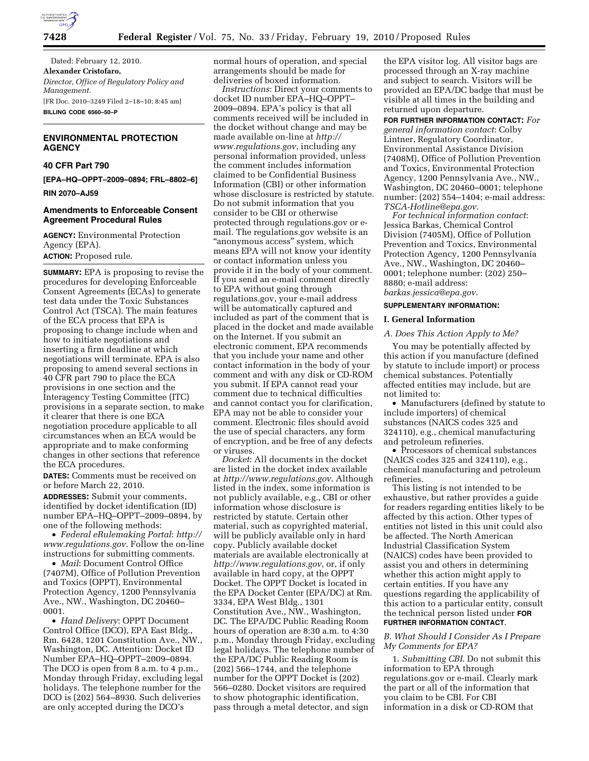

Dated: February 12, 2010. **Alexander Cristofaro,**  *Director, Office of Regulatory Policy and Management.*  [FR Doc. 2010–3249 Filed 2–18–10; 8:45 am] **BILLING CODE 6560–50–P** 

# **ENVIRONMENTAL PROTECTION AGENCY**

# **40 CFR Part 790**

**[EPA–HQ–OPPT–2009–0894; FRL–8802–6]** 

**RIN 2070–AJ59** 

# **Amendments to Enforceable Consent Agreement Procedural Rules**

**AGENCY:** Environmental Protection Agency (EPA). **ACTION:** Proposed rule.

**SUMMARY:** EPA is proposing to revise the procedures for developing Enforceable Consent Agreements (ECAs) to generate test data under the Toxic Substances Control Act (TSCA). The main features of the ECA process that EPA is proposing to change include when and how to initiate negotiations and inserting a firm deadline at which negotiations will terminate. EPA is also proposing to amend several sections in 40 CFR part 790 to place the ECA provisions in one section and the Interagency Testing Committee (ITC) provisions in a separate section, to make it clearer that there is one ECA negotiation procedure applicable to all circumstances when an ECA would be appropriate and to make conforming changes in other sections that reference the ECA procedures.

**DATES:** Comments must be received on or before March 22, 2010.

**ADDRESSES:** Submit your comments, identified by docket identification (ID) number EPA–HQ–OPPT–2009–0894, by one of the following methods:

• *Federal eRulemaking Portal*: *http:// www.regulations.gov*. Follow the on-line instructions for submitting comments.

• *Mail*: Document Control Office (7407M), Office of Pollution Prevention and Toxics (OPPT), Environmental Protection Agency, 1200 Pennsylvania Ave., NW., Washington, DC 20460– 0001.

• *Hand Delivery*: OPPT Document Control Office (DCO), EPA East Bldg., Rm. 6428, 1201 Constitution Ave., NW., Washington, DC. Attention: Docket ID Number EPA–HQ–OPPT–2009–0894. The DCO is open from 8 a.m. to 4 p.m., Monday through Friday, excluding legal holidays. The telephone number for the DCO is (202) 564–8930. Such deliveries are only accepted during the DCO's

normal hours of operation, and special arrangements should be made for deliveries of boxed information.

*Instructions*: Direct your comments to docket ID number EPA–HQ–OPPT– 2009–0894. EPA's policy is that all comments received will be included in the docket without change and may be made available on-line at *http:// www.regulations.gov*, including any personal information provided, unless the comment includes information claimed to be Confidential Business Information (CBI) or other information whose disclosure is restricted by statute. Do not submit information that you consider to be CBI or otherwise protected through regulations.gov or email. The regulations.gov website is an "anonymous access" system, which means EPA will not know your identity or contact information unless you provide it in the body of your comment. If you send an e-mail comment directly to EPA without going through regulations.gov, your e-mail address will be automatically captured and included as part of the comment that is placed in the docket and made available on the Internet. If you submit an electronic comment, EPA recommends that you include your name and other contact information in the body of your comment and with any disk or CD-ROM you submit. If EPA cannot read your comment due to technical difficulties and cannot contact you for clarification, EPA may not be able to consider your comment. Electronic files should avoid the use of special characters, any form of encryption, and be free of any defects or viruses.

*Docket*: All documents in the docket are listed in the docket index available at *http://www.regulations.gov*. Although listed in the index, some information is not publicly available, e.g., CBI or other information whose disclosure is restricted by statute. Certain other material, such as copyrighted material, will be publicly available only in hard copy. Publicly available docket materials are available electronically at *http://www.regulations.gov*, or, if only available in hard copy, at the OPPT Docket. The OPPT Docket is located in the EPA Docket Center (EPA/DC) at Rm. 3334, EPA West Bldg., 1301 Constitution Ave., NW., Washington, DC. The EPA/DC Public Reading Room hours of operation are 8:30 a.m. to 4:30 p.m., Monday through Friday, excluding legal holidays. The telephone number of the EPA/DC Public Reading Room is (202) 566–1744, and the telephone number for the OPPT Docket is (202) 566–0280. Docket visitors are required to show photographic identification, pass through a metal detector, and sign

the EPA visitor log. All visitor bags are processed through an X-ray machine and subject to search. Visitors will be provided an EPA/DC badge that must be visible at all times in the building and returned upon departure.

**FOR FURTHER INFORMATION CONTACT:** *For general information contact*: Colby Lintner, Regulatory Coordinator, Environmental Assistance Division (7408M), Office of Pollution Prevention and Toxics, Environmental Protection Agency, 1200 Pennsylvania Ave., NW., Washington, DC 20460–0001; telephone number: (202) 554–1404; e-mail address: *TSCA-Hotline@epa.gov*.

*For technical information contact*: Jessica Barkas, Chemical Control Division (7405M), Office of Pollution Prevention and Toxics, Environmental Protection Agency, 1200 Pennsylvania Ave., NW., Washington, DC 20460– 0001; telephone number: (202) 250– 8880; e-mail address: *barkas.jessica@epa.gov*.

#### **SUPPLEMENTARY INFORMATION:**

### **I. General Information**

#### *A. Does This Action Apply to Me?*

You may be potentially affected by this action if you manufacture (defined by statute to include import) or process chemical substances. Potentially affected entities may include, but are not limited to:

• Manufacturers (defined by statute to include importers) of chemical substances (NAICS codes 325 and 324110), e.g., chemical manufacturing and petroleum refineries.

• Processors of chemical substances (NAICS codes 325 and 324110), e.g., chemical manufacturing and petroleum refineries.

This listing is not intended to be exhaustive, but rather provides a guide for readers regarding entities likely to be affected by this action. Other types of entities not listed in this unit could also be affected. The North American Industrial Classification System (NAICS) codes have been provided to assist you and others in determining whether this action might apply to certain entities. If you have any questions regarding the applicability of this action to a particular entity, consult the technical person listed under **FOR FURTHER INFORMATION CONTACT**.

# *B. What Should I Consider As I Prepare My Comments for EPA?*

1. *Submitting CBI*. Do not submit this information to EPA through regulations.gov or e-mail. Clearly mark the part or all of the information that you claim to be CBI. For CBI information in a disk or CD-ROM that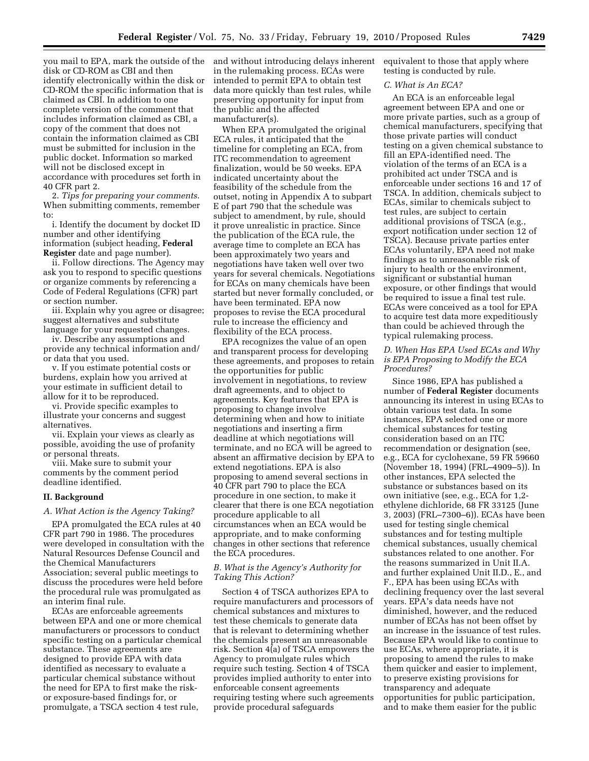you mail to EPA, mark the outside of the disk or CD-ROM as CBI and then identify electronically within the disk or CD-ROM the specific information that is claimed as CBI. In addition to one complete version of the comment that includes information claimed as CBI, a copy of the comment that does not contain the information claimed as CBI must be submitted for inclusion in the public docket. Information so marked will not be disclosed except in accordance with procedures set forth in 40 CFR part 2.

2. *Tips for preparing your comments*. When submitting comments, remember to:

i. Identify the document by docket ID number and other identifying information (subject heading, **Federal Register** date and page number).

ii. Follow directions. The Agency may ask you to respond to specific questions or organize comments by referencing a Code of Federal Regulations (CFR) part or section number.

iii. Explain why you agree or disagree; suggest alternatives and substitute language for your requested changes.

iv. Describe any assumptions and provide any technical information and/ or data that you used.

v. If you estimate potential costs or burdens, explain how you arrived at your estimate in sufficient detail to allow for it to be reproduced.

vi. Provide specific examples to illustrate your concerns and suggest alternatives.

vii. Explain your views as clearly as possible, avoiding the use of profanity or personal threats.

viii. Make sure to submit your comments by the comment period deadline identified.

### **II. Background**

#### *A. What Action is the Agency Taking?*

EPA promulgated the ECA rules at 40 CFR part 790 in 1986. The procedures were developed in consultation with the Natural Resources Defense Council and the Chemical Manufacturers Association; several public meetings to discuss the procedures were held before the procedural rule was promulgated as an interim final rule.

ECAs are enforceable agreements between EPA and one or more chemical manufacturers or processors to conduct specific testing on a particular chemical substance. These agreements are designed to provide EPA with data identified as necessary to evaluate a particular chemical substance without the need for EPA to first make the riskor exposure-based findings for, or promulgate, a TSCA section 4 test rule,

and without introducing delays inherent in the rulemaking process. ECAs were intended to permit EPA to obtain test data more quickly than test rules, while preserving opportunity for input from the public and the affected manufacturer(s).

When EPA promulgated the original ECA rules, it anticipated that the timeline for completing an ECA, from ITC recommendation to agreement finalization, would be 50 weeks. EPA indicated uncertainty about the feasibility of the schedule from the outset, noting in Appendix A to subpart E of part 790 that the schedule was subject to amendment, by rule, should it prove unrealistic in practice. Since the publication of the ECA rule, the average time to complete an ECA has been approximately two years and negotiations have taken well over two years for several chemicals. Negotiations for ECAs on many chemicals have been started but never formally concluded, or have been terminated. EPA now proposes to revise the ECA procedural rule to increase the efficiency and flexibility of the ECA process.

EPA recognizes the value of an open and transparent process for developing these agreements, and proposes to retain the opportunities for public involvement in negotiations, to review draft agreements, and to object to agreements. Key features that EPA is proposing to change involve determining when and how to initiate negotiations and inserting a firm deadline at which negotiations will terminate, and no ECA will be agreed to absent an affirmative decision by EPA to extend negotiations. EPA is also proposing to amend several sections in 40 CFR part 790 to place the ECA procedure in one section, to make it clearer that there is one ECA negotiation procedure applicable to all circumstances when an ECA would be appropriate, and to make conforming changes in other sections that reference the ECA procedures.

# *B. What is the Agency's Authority for Taking This Action?*

Section 4 of TSCA authorizes EPA to require manufacturers and processors of chemical substances and mixtures to test these chemicals to generate data that is relevant to determining whether the chemicals present an unreasonable risk. Section 4(a) of TSCA empowers the Agency to promulgate rules which require such testing. Section 4 of TSCA provides implied authority to enter into enforceable consent agreements requiring testing where such agreements provide procedural safeguards

equivalent to those that apply where testing is conducted by rule.

#### *C. What is An ECA?*

An ECA is an enforceable legal agreement between EPA and one or more private parties, such as a group of chemical manufacturers, specifying that those private parties will conduct testing on a given chemical substance to fill an EPA-identified need. The violation of the terms of an ECA is a prohibited act under TSCA and is enforceable under sections 16 and 17 of TSCA. In addition, chemicals subject to ECAs, similar to chemicals subject to test rules, are subject to certain additional provisions of TSCA (e.g., export notification under section 12 of TSCA). Because private parties enter ECAs voluntarily, EPA need not make findings as to unreasonable risk of injury to health or the environment, significant or substantial human exposure, or other findings that would be required to issue a final test rule. ECAs were conceived as a tool for EPA to acquire test data more expeditiously than could be achieved through the typical rulemaking process.

# *D. When Has EPA Used ECAs and Why is EPA Proposing to Modify the ECA Procedures?*

Since 1986, EPA has published a number of **Federal Register** documents announcing its interest in using ECAs to obtain various test data. In some instances, EPA selected one or more chemical substances for testing consideration based on an ITC recommendation or designation (see, e.g., ECA for cyclohexane, 59 FR 59660 (November 18, 1994) (FRL–4909–5)). In other instances, EPA selected the substance or substances based on its own initiative (see, e.g., ECA for 1,2 ethylene dichloride, 68 FR 33125 (June 3, 2003) (FRL–7300–6)). ECAs have been used for testing single chemical substances and for testing multiple chemical substances, usually chemical substances related to one another. For the reasons summarized in Unit II.A. and further explained Unit II.D., E., and F., EPA has been using ECAs with declining frequency over the last several years. EPA's data needs have not diminished, however, and the reduced number of ECAs has not been offset by an increase in the issuance of test rules. Because EPA would like to continue to use ECAs, where appropriate, it is proposing to amend the rules to make them quicker and easier to implement, to preserve existing provisions for transparency and adequate opportunities for public participation, and to make them easier for the public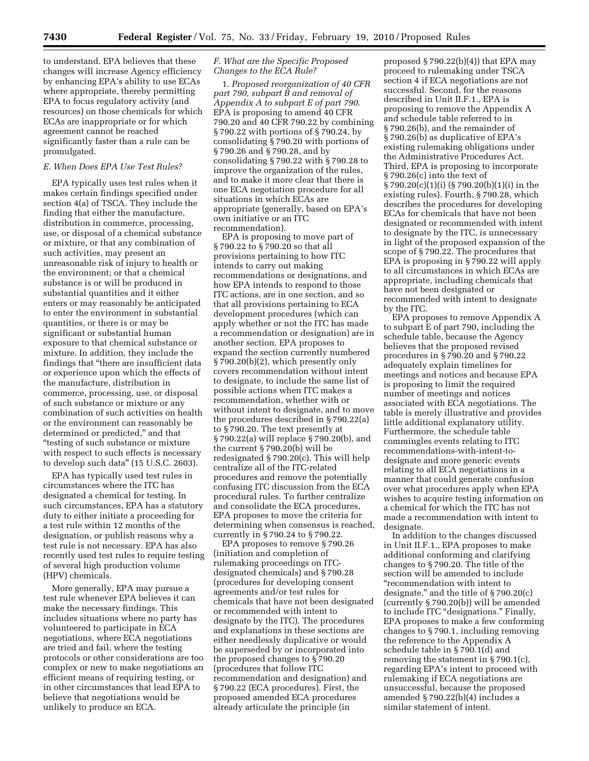to understand. EPA believes that these changes will increase Agency efficiency by enhancing EPA's ability to use ECAs where appropriate, thereby permitting EPA to focus regulatory activity (and resources) on those chemicals for which ECAs are inappropriate or for which agreement cannot be reached significantly faster than a rule can be promulgated.

# *E. When Does EPA Use Test Rules?*

EPA typically uses test rules when it makes certain findings specified under section 4(a) of TSCA. They include the finding that either the manufacture, distribution in commerce, processing, use, or disposal of a chemical substance or mixture, or that any combination of such activities, may present an unreasonable risk of injury to health or the environment; or that a chemical substance is or will be produced in substantial quantities and it either enters or may reasonably be anticipated to enter the environment in substantial quantities, or there is or may be significant or substantial human exposure to that chemical substance or mixture. In addition, they include the findings that ''there are insufficient data or experience upon which the effects of the manufacture, distribution in commerce, processing, use, or disposal of such substance or mixture or any combination of such activities on health or the environment can reasonably be determined or predicted,'' and that ''testing of such substance or mixture with respect to such effects is necessary to develop such data'' (15 U.S.C. 2603).

EPA has typically used test rules in circumstances where the ITC has designated a chemical for testing. In such circumstances, EPA has a statutory duty to either initiate a proceeding for a test rule within 12 months of the designation, or publish reasons why a test rule is not necessary. EPA has also recently used test rules to require testing of several high production volume (HPV) chemicals.

More generally, EPA may pursue a test rule whenever EPA believes it can make the necessary findings. This includes situations where no party has volunteered to participate in ECA negotiations, where ECA negotiations are tried and fail, where the testing protocols or other considerations are too complex or new to make negotiations an efficient means of requiring testing, or in other circumstances that lead EPA to believe that negotiations would be unlikely to produce an ECA.

# *F. What are the Specific Proposed Changes to the ECA Rule?*

1. *Proposed reorganization of 40 CFR part 790, subpart B and removal of Appendix A to subpart E of part 790*. EPA is proposing to amend 40 CFR 790.20 and 40 CFR 790.22 by combining § 790.22 with portions of § 790.24, by consolidating § 790.20 with portions of § 790.26 and § 790.28, and by consolidating § 790.22 with § 790.28 to improve the organization of the rules, and to make it more clear that there is one ECA negotiation procedure for all situations in which ECAs are appropriate (generally, based on EPA's own initiative or an ITC recommendation).

EPA is proposing to move part of § 790.22 to § 790.20 so that all provisions pertaining to how ITC intends to carry out making recommendations or designations, and how EPA intends to respond to those ITC actions, are in one section, and so that all provisions pertaining to ECA development procedures (which can apply whether or not the ITC has made a recommendation or designation) are in another section. EPA proposes to expand the section currently numbered § 790.20(b)(2), which presently only covers recommendation without intent to designate, to include the same list of possible actions when ITC makes a recommendation, whether with or without intent to designate, and to move the procedures described in § 790.22(a) to § 790.20. The text presently at § 790.22(a) will replace § 790.20(b), and the current § 790.20(b) will be redesignated § 790.20(c). This will help centralize all of the ITC-related procedures and remove the potentially confusing ITC discussion from the ECA procedural rules. To further centralize and consolidate the ECA procedures, EPA proposes to move the criteria for determining when consensus is reached, currently in § 790.24 to § 790.22.

EPA proposes to remove § 790.26 (initiation and completion of rulemaking proceedings on ITCdesignated chemicals) and § 790.28 (procedures for developing consent agreements and/or test rules for chemicals that have not been designated or recommended with intent to designate by the ITC). The procedures and explanations in these sections are either needlessly duplicative or would be superseded by or incorporated into the proposed changes to § 790.20 (procedures that follow ITC recommendation and designation) and § 790.22 (ECA procedures). First, the proposed amended ECA procedures already articulate the principle (in

proposed  $\S 790.22(b)(4)$  that EPA may proceed to rulemaking under TSCA section 4 if ECA negotiations are not successful. Second, for the reasons described in Unit II.F.1., EPA is proposing to remove the Appendix A and schedule table referred to in § 790.26(b), and the remainder of § 790.26(b) as duplicative of EPA's existing rulemaking obligations under the Administrative Procedures Act. Third, EPA is proposing to incorporate § 790.26(c) into the text of § 790.20(c)(1)(i) (§ 790.20(b)(1)(i) in the existing rules). Fourth, § 790.28, which describes the procedures for developing ECAs for chemicals that have not been designated or recommended with intent to designate by the ITC, is unnecessary in light of the proposed expansion of the scope of § 790.22. The procedures that EPA is proposing in § 790.22 will apply to all circumstances in which ECAs are appropriate, including chemicals that have not been designated or recommended with intent to designate by the ITC.

EPA proposes to remove Appendix A to subpart E of part 790, including the schedule table, because the Agency believes that the proposed revised procedures in § 790.20 and § 790.22 adequately explain timelines for meetings and notices and because EPA is proposing to limit the required number of meetings and notices associated with ECA negotiations. The table is merely illustrative and provides little additional explanatory utility. Furthermore, the schedule table commingles events relating to ITC recommendations-with-intent-todesignate and more generic events relating to all ECA negotiations in a manner that could generate confusion over what procedures apply when EPA wishes to acquire testing information on a chemical for which the ITC has not made a recommendation with intent to designate.

In addition to the changes discussed in Unit II.F.1., EPA proposes to make additional conforming and clarifying changes to § 790.20. The title of the section will be amended to include ''recommendation with intent to designate,'' and the title of § 790.20(c) (currently § 790.20(b)) will be amended to include ITC "designations." Finally, EPA proposes to make a few conforming changes to § 790.1, including removing the reference to the Appendix A schedule table in § 790.1(d) and removing the statement in § 790.1(c), regarding EPA's intent to proceed with rulemaking if ECA negotiations are unsuccessful, because the proposed amended § 790.22(b)(4) includes a similar statement of intent.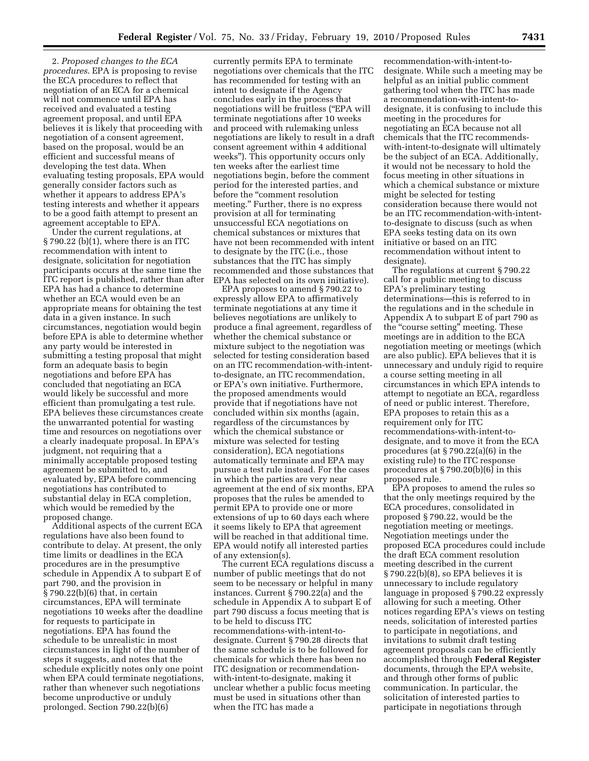2. *Proposed changes to the ECA procedures*. EPA is proposing to revise the ECA procedures to reflect that negotiation of an ECA for a chemical will not commence until EPA has received and evaluated a testing agreement proposal, and until EPA believes it is likely that proceeding with negotiation of a consent agreement, based on the proposal, would be an efficient and successful means of developing the test data. When evaluating testing proposals, EPA would generally consider factors such as whether it appears to address EPA's testing interests and whether it appears to be a good faith attempt to present an agreement acceptable to EPA.

Under the current regulations, at § 790.22 (b)(1), where there is an ITC recommendation with intent to designate, solicitation for negotiation participants occurs at the same time the ITC report is published, rather than after EPA has had a chance to determine whether an ECA would even be an appropriate means for obtaining the test data in a given instance. In such circumstances, negotiation would begin before EPA is able to determine whether any party would be interested in submitting a testing proposal that might form an adequate basis to begin negotiations and before EPA has concluded that negotiating an ECA would likely be successful and more efficient than promulgating a test rule. EPA believes these circumstances create the unwarranted potential for wasting time and resources on negotiations over a clearly inadequate proposal. In EPA's judgment, not requiring that a minimally acceptable proposed testing agreement be submitted to, and evaluated by, EPA before commencing negotiations has contributed to substantial delay in ECA completion, which would be remedied by the proposed change.

Additional aspects of the current ECA regulations have also been found to contribute to delay. At present, the only time limits or deadlines in the ECA procedures are in the presumptive schedule in Appendix A to subpart E of part 790, and the provision in § 790.22(b)(6) that, in certain circumstances, EPA will terminate negotiations 10 weeks after the deadline for requests to participate in negotiations. EPA has found the schedule to be unrealistic in most circumstances in light of the number of steps it suggests, and notes that the schedule explicitly notes only one point when EPA could terminate negotiations, rather than whenever such negotiations become unproductive or unduly prolonged. Section 790.22(b)(6)

currently permits EPA to terminate negotiations over chemicals that the ITC has recommended for testing with an intent to designate if the Agency concludes early in the process that negotiations will be fruitless (''EPA will terminate negotiations after 10 weeks and proceed with rulemaking unless negotiations are likely to result in a draft consent agreement within 4 additional weeks''). This opportunity occurs only ten weeks after the earliest time negotiations begin, before the comment period for the interested parties, and before the "comment resolution meeting.'' Further, there is no express provision at all for terminating unsuccessful ECA negotiations on chemical substances or mixtures that have not been recommended with intent to designate by the ITC (i.e., those substances that the ITC has simply recommended and those substances that EPA has selected on its own initiative).

EPA proposes to amend § 790.22 to expressly allow EPA to affirmatively terminate negotiations at any time it believes negotiations are unlikely to produce a final agreement, regardless of whether the chemical substance or mixture subject to the negotiation was selected for testing consideration based on an ITC recommendation-with-intentto-designate, an ITC recommendation, or EPA's own initiative. Furthermore, the proposed amendments would provide that if negotiations have not concluded within six months (again, regardless of the circumstances by which the chemical substance or mixture was selected for testing consideration), ECA negotiations automatically terminate and EPA may pursue a test rule instead. For the cases in which the parties are very near agreement at the end of six months, EPA proposes that the rules be amended to permit EPA to provide one or more extensions of up to 60 days each where it seems likely to EPA that agreement will be reached in that additional time. EPA would notify all interested parties of any extension(s).

The current ECA regulations discuss a number of public meetings that do not seem to be necessary or helpful in many instances. Current § 790.22(a) and the schedule in Appendix A to subpart E of part 790 discuss a focus meeting that is to be held to discuss ITC recommendations-with-intent-todesignate. Current § 790.28 directs that the same schedule is to be followed for chemicals for which there has been no ITC designation or recommendationwith-intent-to-designate, making it unclear whether a public focus meeting must be used in situations other than when the ITC has made a

recommendation-with-intent-todesignate. While such a meeting may be helpful as an initial public comment gathering tool when the ITC has made a recommendation-with-intent-todesignate, it is confusing to include this meeting in the procedures for negotiating an ECA because not all chemicals that the ITC recommendswith-intent-to-designate will ultimately be the subject of an ECA. Additionally, it would not be necessary to hold the focus meeting in other situations in which a chemical substance or mixture might be selected for testing consideration because there would not be an ITC recommendation-with-intentto-designate to discuss (such as when EPA seeks testing data on its own initiative or based on an ITC recommendation without intent to designate).

The regulations at current § 790.22 call for a public meeting to discuss EPA's preliminary testing determinations—this is referred to in the regulations and in the schedule in Appendix A to subpart E of part 790 as the ''course setting'' meeting. These meetings are in addition to the ECA negotiation meeting or meetings (which are also public). EPA believes that it is unnecessary and unduly rigid to require a course setting meeting in all circumstances in which EPA intends to attempt to negotiate an ECA, regardless of need or public interest. Therefore, EPA proposes to retain this as a requirement only for ITC recommendations-with-intent-todesignate, and to move it from the ECA procedures (at § 790.22(a)(6) in the existing rule) to the ITC response procedures at § 790.20(b)(6) in this proposed rule.

EPA proposes to amend the rules so that the only meetings required by the ECA procedures, consolidated in proposed § 790.22, would be the negotiation meeting or meetings. Negotiation meetings under the proposed ECA procedures could include the draft ECA comment resolution meeting described in the current § 790.22(b)(8), so EPA believes it is unnecessary to include regulatory language in proposed § 790.22 expressly allowing for such a meeting. Other notices regarding EPA's views on testing needs, solicitation of interested parties to participate in negotiations, and invitations to submit draft testing agreement proposals can be efficiently accomplished through **Federal Register**  documents, through the EPA website, and through other forms of public communication. In particular, the solicitation of interested parties to participate in negotiations through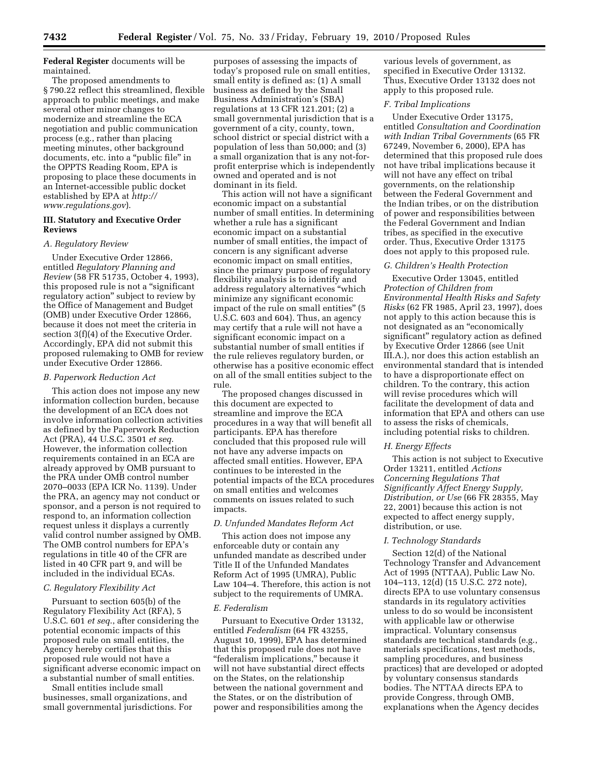# **Federal Register** documents will be maintained.

The proposed amendments to § 790.22 reflect this streamlined, flexible approach to public meetings, and make several other minor changes to modernize and streamline the ECA negotiation and public communication process (e.g., rather than placing meeting minutes, other background documents, etc. into a "public file" in the OPPTS Reading Room, EPA is proposing to place these documents in an Internet-accessible public docket established by EPA at *http:// www.regulations.gov*).

# **III. Statutory and Executive Order Reviews**

#### *A. Regulatory Review*

Under Executive Order 12866, entitled *Regulatory Planning and Review* (58 FR 51735, October 4, 1993), this proposed rule is not a ''significant regulatory action'' subject to review by the Office of Management and Budget (OMB) under Executive Order 12866, because it does not meet the criteria in section 3(f)(4) of the Executive Order. Accordingly, EPA did not submit this proposed rulemaking to OMB for review under Executive Order 12866.

#### *B. Paperwork Reduction Act*

This action does not impose any new information collection burden, because the development of an ECA does not involve information collection activities as defined by the Paperwork Reduction Act (PRA), 44 U.S.C. 3501 *et seq*. However, the information collection requirements contained in an ECA are already approved by OMB pursuant to the PRA under OMB control number 2070–0033 (EPA ICR No. 1139). Under the PRA, an agency may not conduct or sponsor, and a person is not required to respond to, an information collection request unless it displays a currently valid control number assigned by OMB. The OMB control numbers for EPA's regulations in title 40 of the CFR are listed in 40 CFR part 9, and will be included in the individual ECAs.

### *C. Regulatory Flexibility Act*

Pursuant to section 605(b) of the Regulatory Flexibility Act (RFA), 5 U.S.C. 601 *et seq*., after considering the potential economic impacts of this proposed rule on small entities, the Agency hereby certifies that this proposed rule would not have a significant adverse economic impact on a substantial number of small entities.

Small entities include small businesses, small organizations, and small governmental jurisdictions. For

purposes of assessing the impacts of today's proposed rule on small entities, small entity is defined as: (1) A small business as defined by the Small Business Administration's (SBA) regulations at 13 CFR 121.201; (2) a small governmental jurisdiction that is a government of a city, county, town, school district or special district with a population of less than 50,000; and (3) a small organization that is any not-forprofit enterprise which is independently owned and operated and is not dominant in its field.

This action will not have a significant economic impact on a substantial number of small entities. In determining whether a rule has a significant economic impact on a substantial number of small entities, the impact of concern is any significant adverse economic impact on small entities, since the primary purpose of regulatory flexibility analysis is to identify and address regulatory alternatives ''which minimize any significant economic impact of the rule on small entities'' (5 U.S.C. 603 and 604). Thus, an agency may certify that a rule will not have a significant economic impact on a substantial number of small entities if the rule relieves regulatory burden, or otherwise has a positive economic effect on all of the small entities subject to the rule.

The proposed changes discussed in this document are expected to streamline and improve the ECA procedures in a way that will benefit all participants. EPA has therefore concluded that this proposed rule will not have any adverse impacts on affected small entities. However, EPA continues to be interested in the potential impacts of the ECA procedures on small entities and welcomes comments on issues related to such impacts.

### *D. Unfunded Mandates Reform Act*

This action does not impose any enforceable duty or contain any unfunded mandate as described under Title II of the Unfunded Mandates Reform Act of 1995 (UMRA), Public Law 104–4. Therefore, this action is not subject to the requirements of UMRA.

#### *E. Federalism*

Pursuant to Executive Order 13132, entitled *Federalism* (64 FR 43255, August 10, 1999), EPA has determined that this proposed rule does not have ''federalism implications,'' because it will not have substantial direct effects on the States, on the relationship between the national government and the States, or on the distribution of power and responsibilities among the

various levels of government, as specified in Executive Order 13132. Thus, Executive Order 13132 does not apply to this proposed rule.

### *F. Tribal Implications*

Under Executive Order 13175, entitled *Consultation and Coordination with Indian Tribal Governments* (65 FR 67249, November 6, 2000), EPA has determined that this proposed rule does not have tribal implications because it will not have any effect on tribal governments, on the relationship between the Federal Government and the Indian tribes, or on the distribution of power and responsibilities between the Federal Government and Indian tribes, as specified in the executive order. Thus, Executive Order 13175 does not apply to this proposed rule.

### *G. Children's Health Protection*

Executive Order 13045, entitled *Protection of Children from Environmental Health Risks and Safety Risks* (62 FR 1985, April 23, 1997), does not apply to this action because this is not designated as an ''economically significant'' regulatory action as defined by Executive Order 12866 (see Unit III.A.), nor does this action establish an environmental standard that is intended to have a disproportionate effect on children. To the contrary, this action will revise procedures which will facilitate the development of data and information that EPA and others can use to assess the risks of chemicals, including potential risks to children.

#### *H. Energy Effects*

This action is not subject to Executive Order 13211, entitled *Actions Concerning Regulations That Significantly Affect Energy Supply, Distribution, or Use* (66 FR 28355, May 22, 2001) because this action is not expected to affect energy supply, distribution, or use.

#### *I. Technology Standards*

Section 12(d) of the National Technology Transfer and Advancement Act of 1995 (NTTAA), Public Law No. 104–113, 12(d) (15 U.S.C. 272 note), directs EPA to use voluntary consensus standards in its regulatory activities unless to do so would be inconsistent with applicable law or otherwise impractical. Voluntary consensus standards are technical standards (e.g., materials specifications, test methods, sampling procedures, and business practices) that are developed or adopted by voluntary consensus standards bodies. The NTTAA directs EPA to provide Congress, through OMB, explanations when the Agency decides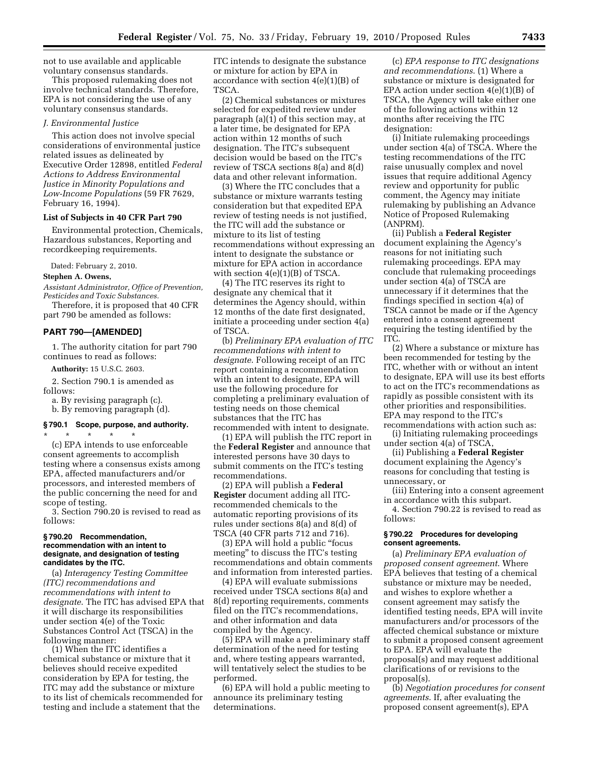not to use available and applicable voluntary consensus standards.

This proposed rulemaking does not involve technical standards. Therefore, EPA is not considering the use of any voluntary consensus standards.

#### *J. Environmental Justice*

This action does not involve special considerations of environmental justice related issues as delineated by Executive Order 12898, entitled *Federal Actions to Address Environmental Justice in Minority Populations and Low-Income Populations* (59 FR 7629, February 16, 1994).

### **List of Subjects in 40 CFR Part 790**

Environmental protection, Chemicals, Hazardous substances, Reporting and recordkeeping requirements.

Dated: February 2, 2010.

### **Stephen A. Owens,**

*Assistant Administrator, Office of Prevention, Pesticides and Toxic Substances.* 

Therefore, it is proposed that 40 CFR part 790 be amended as follows:

# **PART 790—[AMENDED]**

1. The authority citation for part 790 continues to read as follows:

**Authority:** 15 U.S.C. 2603.

2. Section 790.1 is amended as follows:

a. By revising paragraph (c).

b. By removing paragraph (d).

#### **§ 790.1 Scope, purpose, and authority.**

\* \* \* \* \* (c) EPA intends to use enforceable consent agreements to accomplish testing where a consensus exists among EPA, affected manufacturers and/or processors, and interested members of the public concerning the need for and scope of testing.

3. Section 790.20 is revised to read as follows:

#### **§ 790.20 Recommendation, recommendation with an intent to designate, and designation of testing candidates by the ITC.**

(a) *Interagency Testing Committee (ITC) recommendations and recommendations with intent to designate*. The ITC has advised EPA that it will discharge its responsibilities under section 4(e) of the Toxic Substances Control Act (TSCA) in the following manner:

(1) When the ITC identifies a chemical substance or mixture that it believes should receive expedited consideration by EPA for testing, the ITC may add the substance or mixture to its list of chemicals recommended for testing and include a statement that the

ITC intends to designate the substance or mixture for action by EPA in accordance with section  $4(e)(1)(B)$  of TSCA.

(2) Chemical substances or mixtures selected for expedited review under paragraph (a)(1) of this section may, at a later time, be designated for EPA action within 12 months of such designation. The ITC's subsequent decision would be based on the ITC's review of TSCA sections 8(a) and 8(d) data and other relevant information.

(3) Where the ITC concludes that a substance or mixture warrants testing consideration but that expedited EPA review of testing needs is not justified, the ITC will add the substance or mixture to its list of testing recommendations without expressing an intent to designate the substance or mixture for EPA action in accordance with section  $4(e)(1)(B)$  of TSCA.

(4) The ITC reserves its right to designate any chemical that it determines the Agency should, within 12 months of the date first designated, initiate a proceeding under section 4(a) of TSCA.

(b) *Preliminary EPA evaluation of ITC recommendations with intent to designate*. Following receipt of an ITC report containing a recommendation with an intent to designate, EPA will use the following procedure for completing a preliminary evaluation of testing needs on those chemical substances that the ITC has recommended with intent to designate.

(1) EPA will publish the ITC report in the **Federal Register** and announce that interested persons have 30 days to submit comments on the ITC's testing recommendations.

(2) EPA will publish a **Federal Register** document adding all ITCrecommended chemicals to the automatic reporting provisions of its rules under sections 8(a) and 8(d) of TSCA (40 CFR parts 712 and 716).

(3) EPA will hold a public ''focus meeting'' to discuss the ITC's testing recommendations and obtain comments and information from interested parties.

(4) EPA will evaluate submissions received under TSCA sections 8(a) and 8(d) reporting requirements, comments filed on the ITC's recommendations, and other information and data compiled by the Agency.

(5) EPA will make a preliminary staff determination of the need for testing and, where testing appears warranted, will tentatively select the studies to be performed.

(6) EPA will hold a public meeting to announce its preliminary testing determinations.

(c) *EPA response to ITC designations and recommendations*. (1) Where a substance or mixture is designated for EPA action under section  $4(e)(1)(B)$  of TSCA, the Agency will take either one of the following actions within 12 months after receiving the ITC designation:

(i) Initiate rulemaking proceedings under section 4(a) of TSCA. Where the testing recommendations of the ITC raise unusually complex and novel issues that require additional Agency review and opportunity for public comment, the Agency may initiate rulemaking by publishing an Advance Notice of Proposed Rulemaking (ANPRM).

(ii) Publish a **Federal Register**  document explaining the Agency's reasons for not initiating such rulemaking proceedings. EPA may conclude that rulemaking proceedings under section 4(a) of TSCA are unnecessary if it determines that the findings specified in section 4(a) of TSCA cannot be made or if the Agency entered into a consent agreement requiring the testing identified by the ITC.

(2) Where a substance or mixture has been recommended for testing by the ITC, whether with or without an intent to designate, EPA will use its best efforts to act on the ITC's recommendations as rapidly as possible consistent with its other priorities and responsibilities. EPA may respond to the ITC's recommendations with action such as:

(i) Initiating rulemaking proceedings under section 4(a) of TSCA,

(ii) Publishing a **Federal Register**  document explaining the Agency's reasons for concluding that testing is unnecessary, or

(iii) Entering into a consent agreement in accordance with this subpart.

4. Section 790.22 is revised to read as follows:

#### **§ 790.22 Procedures for developing consent agreements.**

(a) *Preliminary EPA evaluation of proposed consent agreement*. Where EPA believes that testing of a chemical substance or mixture may be needed, and wishes to explore whether a consent agreement may satisfy the identified testing needs, EPA will invite manufacturers and/or processors of the affected chemical substance or mixture to submit a proposed consent agreement to EPA. EPA will evaluate the proposal(s) and may request additional clarifications of or revisions to the proposal(s).

(b) *Negotiation procedures for consent agreements*. If, after evaluating the proposed consent agreement(s), EPA